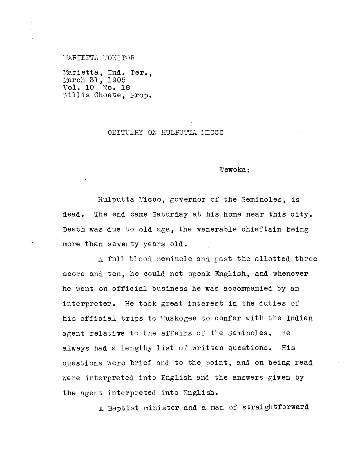77:ARIETTA MONITOR

Marietta, Ind. Ter., March 31, 1905 Vol. 10 No. 18 Willis Choate, Prop.

## OBITUARY ON HULPUTTA MICCO

Wewoka:

Hulputta Micco, governor of the Seminoles, is dead. The end came Saturday at his home near this city. Death was due to old age, the venerable chieftain being more than seventy years old.

A full blood Seminole and past the allotted three score and ten, he could not speak English, and whenever he went on official business he was accompanied by an interpreter. He took great interest in the duties of his official trips to Muskogee to confer with the Indian agent relative to the affairs of the Seminoles. He always had a lengthy list of written questions. His questions were brief and to the point, and on being read were interpreted into English and the answers given by the agent interpreted into English.

*A.* Baptist minister and a man of straightforward